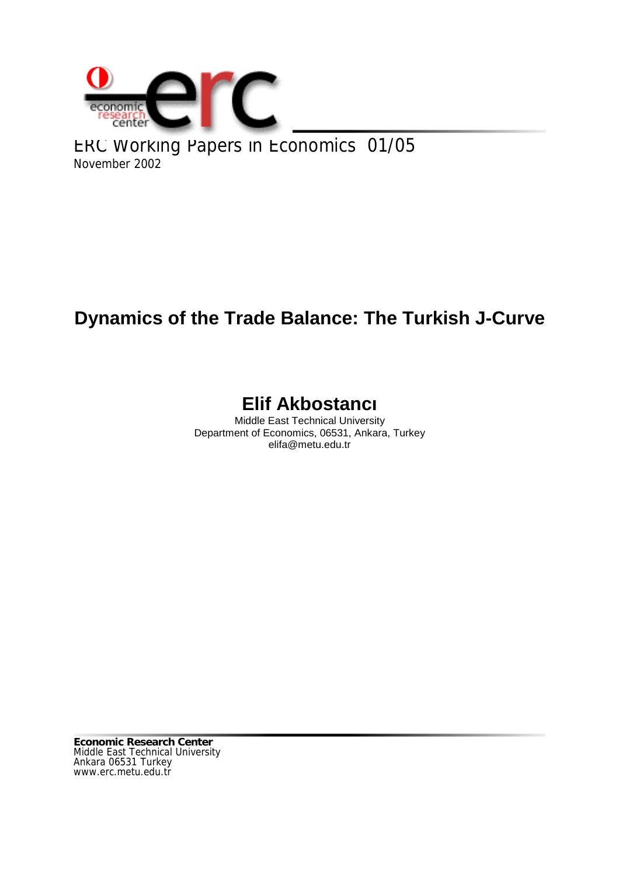

ERC Working Papers in Economics 01/05 November 2002

# **Dynamics of the Trade Balance: The Turkish J-Curve**

## **Elif Akbostancı**

Middle East Technical University Department of Economics, 06531, Ankara, Turkey elifa@metu.edu.tr

**Economic Research Center** Middle East Technical University Ankara 06531 Turkey www.erc.metu.edu.tr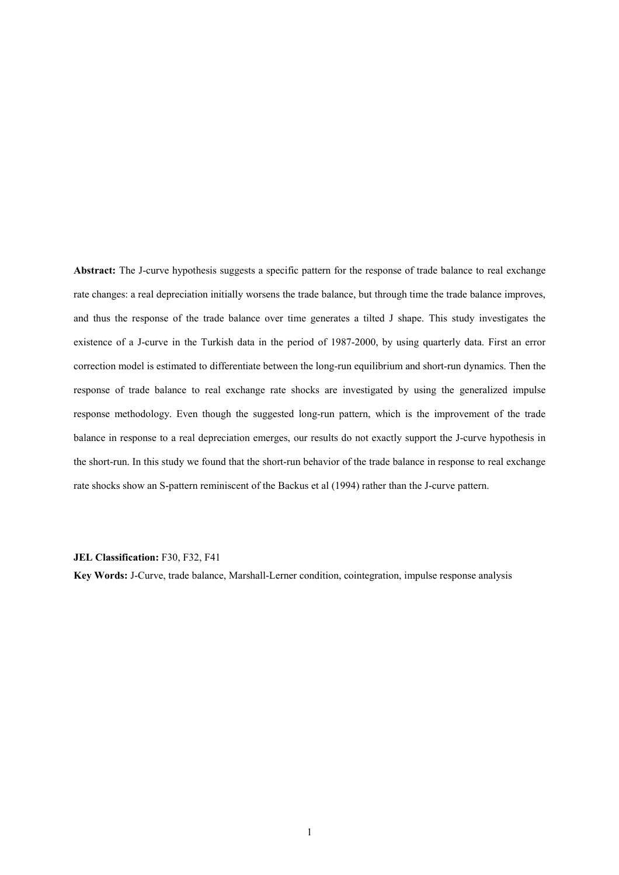**Abstract:** The J-curve hypothesis suggests a specific pattern for the response of trade balance to real exchange rate changes: a real depreciation initially worsens the trade balance, but through time the trade balance improves, and thus the response of the trade balance over time generates a tilted J shape. This study investigates the existence of a J-curve in the Turkish data in the period of 1987-2000, by using quarterly data. First an error correction model is estimated to differentiate between the long-run equilibrium and short-run dynamics. Then the response of trade balance to real exchange rate shocks are investigated by using the generalized impulse response methodology. Even though the suggested long-run pattern, which is the improvement of the trade balance in response to a real depreciation emerges, our results do not exactly support the J-curve hypothesis in the short-run. In this study we found that the short-run behavior of the trade balance in response to real exchange rate shocks show an S-pattern reminiscent of the Backus et al (1994) rather than the J-curve pattern.

#### **JEL Classification:** F30, F32, F41

**Key Words:** J-Curve, trade balance, Marshall-Lerner condition, cointegration, impulse response analysis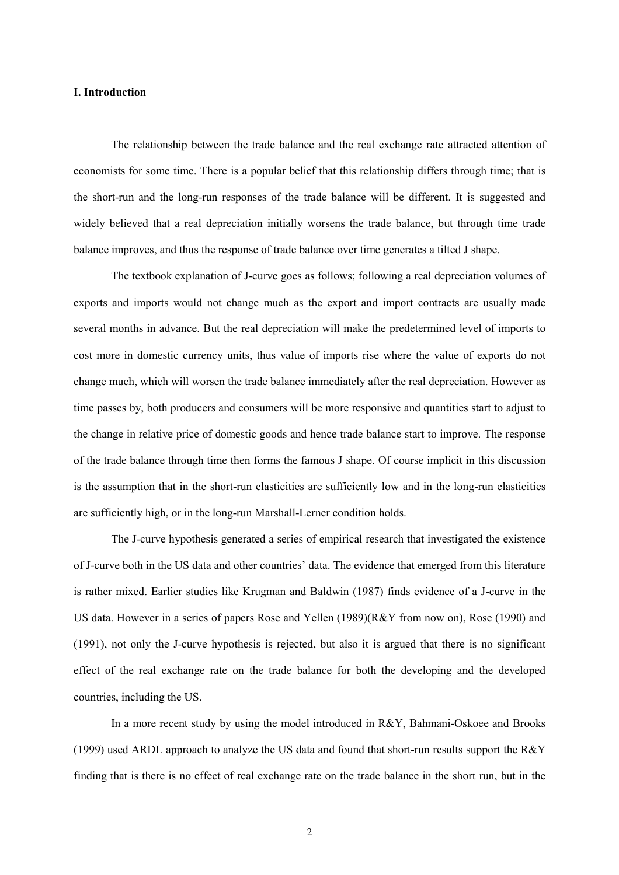## **I. Introduction**

The relationship between the trade balance and the real exchange rate attracted attention of economists for some time. There is a popular belief that this relationship differs through time; that is the short-run and the long-run responses of the trade balance will be different. It is suggested and widely believed that a real depreciation initially worsens the trade balance, but through time trade balance improves, and thus the response of trade balance over time generates a tilted J shape.

The textbook explanation of J-curve goes as follows; following a real depreciation volumes of exports and imports would not change much as the export and import contracts are usually made several months in advance. But the real depreciation will make the predetermined level of imports to cost more in domestic currency units, thus value of imports rise where the value of exports do not change much, which will worsen the trade balance immediately after the real depreciation. However as time passes by, both producers and consumers will be more responsive and quantities start to adjust to the change in relative price of domestic goods and hence trade balance start to improve. The response of the trade balance through time then forms the famous J shape. Of course implicit in this discussion is the assumption that in the short-run elasticities are sufficiently low and in the long-run elasticities are sufficiently high, or in the long-run Marshall-Lerner condition holds.

The J-curve hypothesis generated a series of empirical research that investigated the existence of J-curve both in the US data and other countries' data. The evidence that emerged from this literature is rather mixed. Earlier studies like Krugman and Baldwin (1987) finds evidence of a J-curve in the US data. However in a series of papers Rose and Yellen (1989)(R&Y from now on), Rose (1990) and (1991), not only the J-curve hypothesis is rejected, but also it is argued that there is no significant effect of the real exchange rate on the trade balance for both the developing and the developed countries, including the US.

In a more recent study by using the model introduced in R&Y, Bahmani-Oskoee and Brooks (1999) used ARDL approach to analyze the US data and found that short-run results support the R&Y finding that is there is no effect of real exchange rate on the trade balance in the short run, but in the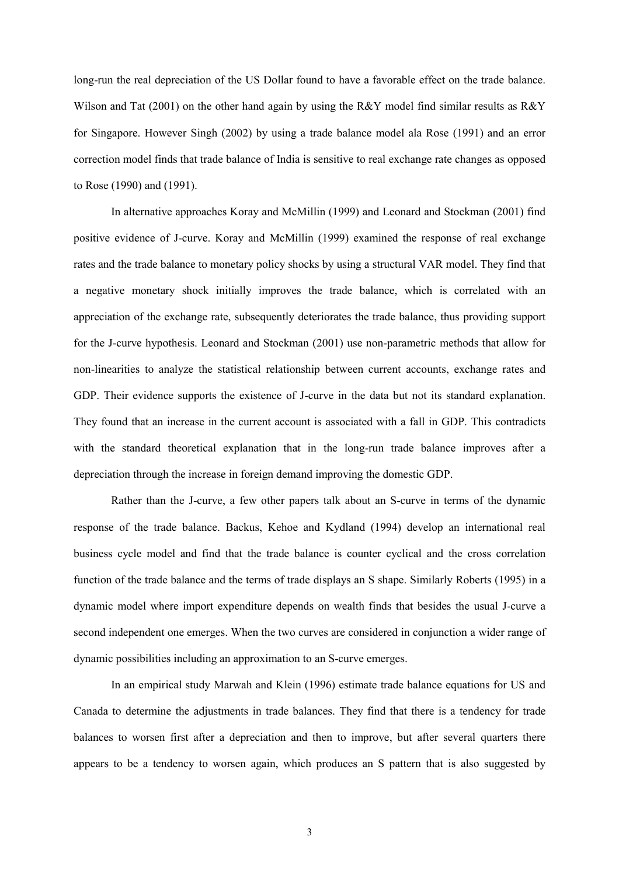long-run the real depreciation of the US Dollar found to have a favorable effect on the trade balance. Wilson and Tat (2001) on the other hand again by using the R&Y model find similar results as R&Y for Singapore. However Singh (2002) by using a trade balance model ala Rose (1991) and an error correction model finds that trade balance of India is sensitive to real exchange rate changes as opposed to Rose (1990) and (1991).

In alternative approaches Koray and McMillin (1999) and Leonard and Stockman (2001) find positive evidence of J-curve. Koray and McMillin (1999) examined the response of real exchange rates and the trade balance to monetary policy shocks by using a structural VAR model. They find that a negative monetary shock initially improves the trade balance, which is correlated with an appreciation of the exchange rate, subsequently deteriorates the trade balance, thus providing support for the J-curve hypothesis. Leonard and Stockman (2001) use non-parametric methods that allow for non-linearities to analyze the statistical relationship between current accounts, exchange rates and GDP. Their evidence supports the existence of J-curve in the data but not its standard explanation. They found that an increase in the current account is associated with a fall in GDP. This contradicts with the standard theoretical explanation that in the long-run trade balance improves after a depreciation through the increase in foreign demand improving the domestic GDP.

Rather than the J-curve, a few other papers talk about an S-curve in terms of the dynamic response of the trade balance. Backus, Kehoe and Kydland (1994) develop an international real business cycle model and find that the trade balance is counter cyclical and the cross correlation function of the trade balance and the terms of trade displays an S shape. Similarly Roberts (1995) in a dynamic model where import expenditure depends on wealth finds that besides the usual J-curve a second independent one emerges. When the two curves are considered in conjunction a wider range of dynamic possibilities including an approximation to an S-curve emerges.

In an empirical study Marwah and Klein (1996) estimate trade balance equations for US and Canada to determine the adjustments in trade balances. They find that there is a tendency for trade balances to worsen first after a depreciation and then to improve, but after several quarters there appears to be a tendency to worsen again, which produces an S pattern that is also suggested by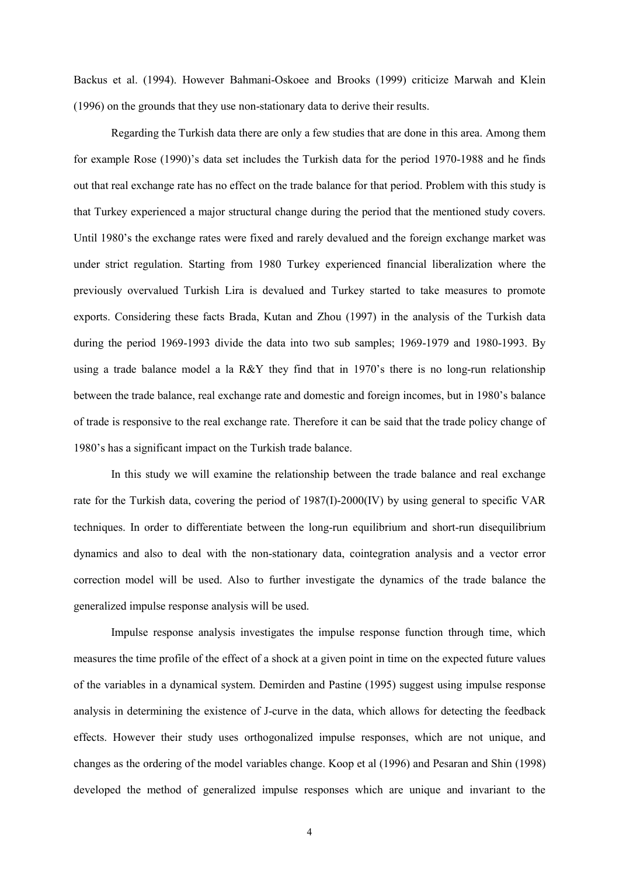Backus et al. (1994). However Bahmani-Oskoee and Brooks (1999) criticize Marwah and Klein (1996) on the grounds that they use non-stationary data to derive their results.

Regarding the Turkish data there are only a few studies that are done in this area. Among them for example Rose (1990)'s data set includes the Turkish data for the period 1970-1988 and he finds out that real exchange rate has no effect on the trade balance for that period. Problem with this study is that Turkey experienced a major structural change during the period that the mentioned study covers. Until 1980's the exchange rates were fixed and rarely devalued and the foreign exchange market was under strict regulation. Starting from 1980 Turkey experienced financial liberalization where the previously overvalued Turkish Lira is devalued and Turkey started to take measures to promote exports. Considering these facts Brada, Kutan and Zhou (1997) in the analysis of the Turkish data during the period 1969-1993 divide the data into two sub samples; 1969-1979 and 1980-1993. By using a trade balance model a la R&Y they find that in 1970's there is no long-run relationship between the trade balance, real exchange rate and domestic and foreign incomes, but in 1980's balance of trade is responsive to the real exchange rate. Therefore it can be said that the trade policy change of 1980's has a significant impact on the Turkish trade balance.

In this study we will examine the relationship between the trade balance and real exchange rate for the Turkish data, covering the period of 1987(I)-2000(IV) by using general to specific VAR techniques. In order to differentiate between the long-run equilibrium and short-run disequilibrium dynamics and also to deal with the non-stationary data, cointegration analysis and a vector error correction model will be used. Also to further investigate the dynamics of the trade balance the generalized impulse response analysis will be used.

Impulse response analysis investigates the impulse response function through time, which measures the time profile of the effect of a shock at a given point in time on the expected future values of the variables in a dynamical system. Demirden and Pastine (1995) suggest using impulse response analysis in determining the existence of J-curve in the data, which allows for detecting the feedback effects. However their study uses orthogonalized impulse responses, which are not unique, and changes as the ordering of the model variables change. Koop et al (1996) and Pesaran and Shin (1998) developed the method of generalized impulse responses which are unique and invariant to the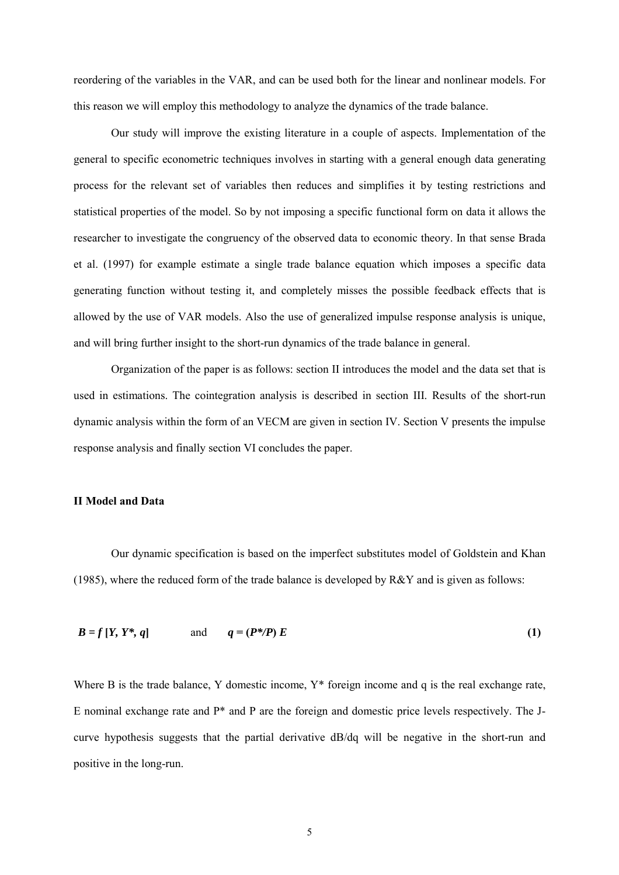reordering of the variables in the VAR, and can be used both for the linear and nonlinear models. For this reason we will employ this methodology to analyze the dynamics of the trade balance.

Our study will improve the existing literature in a couple of aspects. Implementation of the general to specific econometric techniques involves in starting with a general enough data generating process for the relevant set of variables then reduces and simplifies it by testing restrictions and statistical properties of the model. So by not imposing a specific functional form on data it allows the researcher to investigate the congruency of the observed data to economic theory. In that sense Brada et al. (1997) for example estimate a single trade balance equation which imposes a specific data generating function without testing it, and completely misses the possible feedback effects that is allowed by the use of VAR models. Also the use of generalized impulse response analysis is unique, and will bring further insight to the short-run dynamics of the trade balance in general.

Organization of the paper is as follows: section II introduces the model and the data set that is used in estimations. The cointegration analysis is described in section III. Results of the short-run dynamic analysis within the form of an VECM are given in section IV. Section V presents the impulse response analysis and finally section VI concludes the paper.

#### **II Model and Data**

Our dynamic specification is based on the imperfect substitutes model of Goldstein and Khan (1985), where the reduced form of the trade balance is developed by  $R\&Y$  and is given as follows:

$$
B = f[Y, Y^*, q] \qquad \text{and} \qquad q = (P^*/P) E \tag{1}
$$

Where B is the trade balance, Y domestic income,  $Y^*$  foreign income and q is the real exchange rate, E nominal exchange rate and P\* and P are the foreign and domestic price levels respectively. The Jcurve hypothesis suggests that the partial derivative dB/dq will be negative in the short-run and positive in the long-run.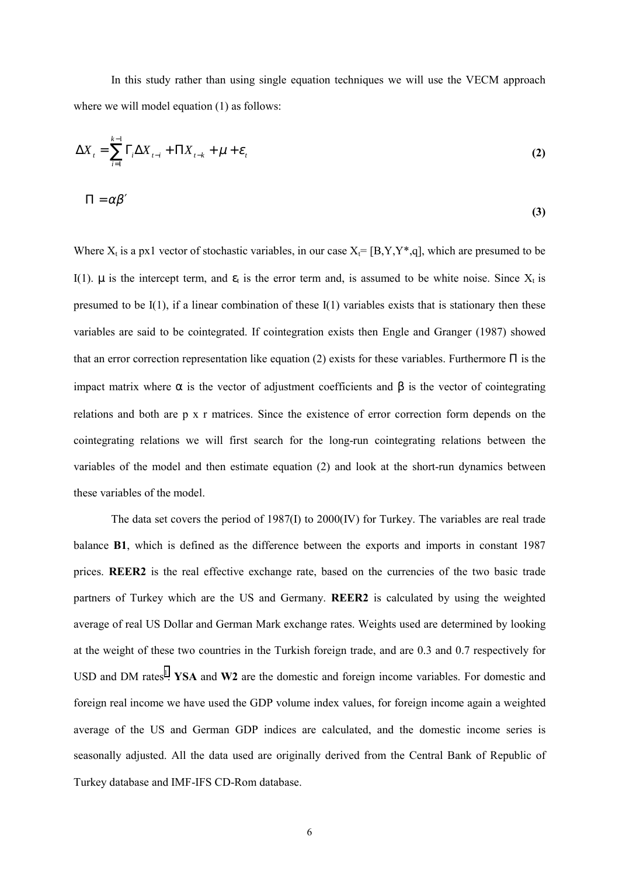In this study rather than using single equation techniques we will use the VECM approach where we will model equation (1) as follows:

$$
\Delta X_{t} = \sum_{i=1}^{k-1} \Gamma_{i} \Delta X_{t-i} + \Pi X_{t-k} + \mu + \varepsilon_{t}
$$
\n
$$
\Pi = \alpha \beta'
$$
\n(2)

**(3)**

Where  $X_t$  is a px1 vector of stochastic variables, in our case  $X_t = [B, Y, Y^*, q]$ , which are presumed to be I(1).  $\mu$  is the intercept term, and  $\varepsilon_t$  is the error term and, is assumed to be white noise. Since  $X_t$  is presumed to be  $I(1)$ , if a linear combination of these  $I(1)$  variables exists that is stationary then these variables are said to be cointegrated. If cointegration exists then Engle and Granger (1987) showed that an error correction representation like equation (2) exists for these variables. Furthermore  $\Pi$  is the impact matrix where  $\alpha$  is the vector of adjustment coefficients and  $\beta$  is the vector of cointegrating relations and both are p x r matrices. Since the existence of error correction form depends on the cointegrating relations we will first search for the long-run cointegrating relations between the variables of the model and then estimate equation (2) and look at the short-run dynamics between these variables of the model.

The data set covers the period of 1987(I) to 2000(IV) for Turkey. The variables are real trade balance **B1**, which is defined as the difference between the exports and imports in constant 1987 prices. REER2 is the real effective exchange rate, based on the currencies of the two basic trade partners of Turkey which are the US and Germany. **REER2** is calculated by using the weighted average of real US Dollar and German Mark exchange rates. Weights used are determined by looking at the weight of these two countries in the Turkish foreign trade, and are 0.3 and 0.7 respectively for USD and DM rates<sup>[1](#page-19-0)</sup>. YSA and W2 are the domestic and foreign income variables. For domestic and foreign real income we have used the GDP volume index values, for foreign income again a weighted average of the US and German GDP indices are calculated, and the domestic income series is seasonally adjusted. All the data used are originally derived from the Central Bank of Republic of Turkey database and IMF-IFS CD-Rom database.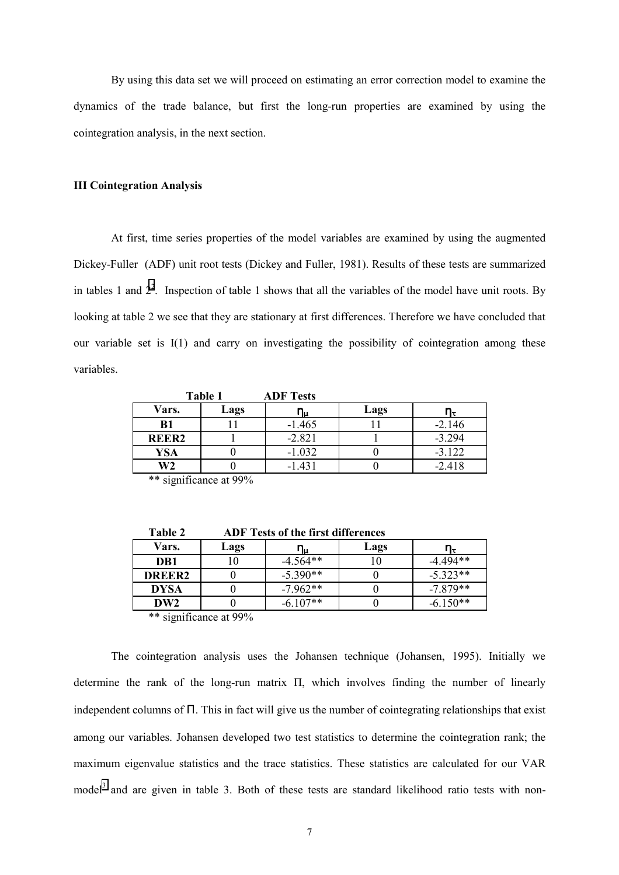By using this data set we will proceed on estimating an error correction model to examine the dynamics of the trade balance, but first the long-run properties are examined by using the cointegration analysis, in the next section.

#### **III Cointegration Analysis**

At first, time series properties of the model variables are examined by using the augmented Dickey-Fuller (ADF) unit root tests (Dickey and Fuller, 1981). Results of these tests are summarized in tables 1 and  $2<sup>2</sup>$ . Inspection of table 1 shows that all the variables of the model have unit roots. By looking at table 2 we see that they are stationary at first differences. Therefore we have concluded that our variable set is I(1) and carry on investigating the possibility of cointegration among these variables.

**Table 1 ADF Tests**

| Vars.             | Lags |          | Lags | ПŦ       |
|-------------------|------|----------|------|----------|
| <b>B</b> 1        |      | $-1.465$ |      | $-2.146$ |
| REER <sub>2</sub> |      | $-2.821$ |      | $-3.294$ |
| <b>YSA</b>        |      | $-1.032$ |      | $-3.122$ |
| W2                |      | $-1.431$ |      | $-2.418$ |
| .<br>.            | .    |          |      |          |

\*\* significance at 99%

| 1 avit 4           |      | ADF Tests of the first uniterences |      |            |
|--------------------|------|------------------------------------|------|------------|
| Vars.              | Lags | Պս                                 | Lags |            |
| DB1                |      | $-4.564**$                         |      | $-4.494**$ |
| DREER <sub>2</sub> |      | $-5.390**$                         |      | $-5.323**$ |
| <b>DYSA</b>        |      | $-7.962**$                         |      | $-7.879**$ |
| DW <sub>2</sub>    |      | $-6.107**$                         |      | $-6.150**$ |

**Table 2 ADF Tests of the first differences**

\*\* significance at 99%

The cointegration analysis uses the Johansen technique (Johansen, 1995). Initially we determine the rank of the long-run matrix Π, which involves finding the number of linearly independent columns of Π. This in fact will give us the number of cointegrating relationships that exist among our variables. Johansen developed two test statistics to determine the cointegration rank; the maximum eigenvalue statistics and the trace statistics. These statistics are calculated for our VAR model<sup>[3](#page-19-0)</sup> and are given in table 3. Both of these tests are standard likelihood ratio tests with non-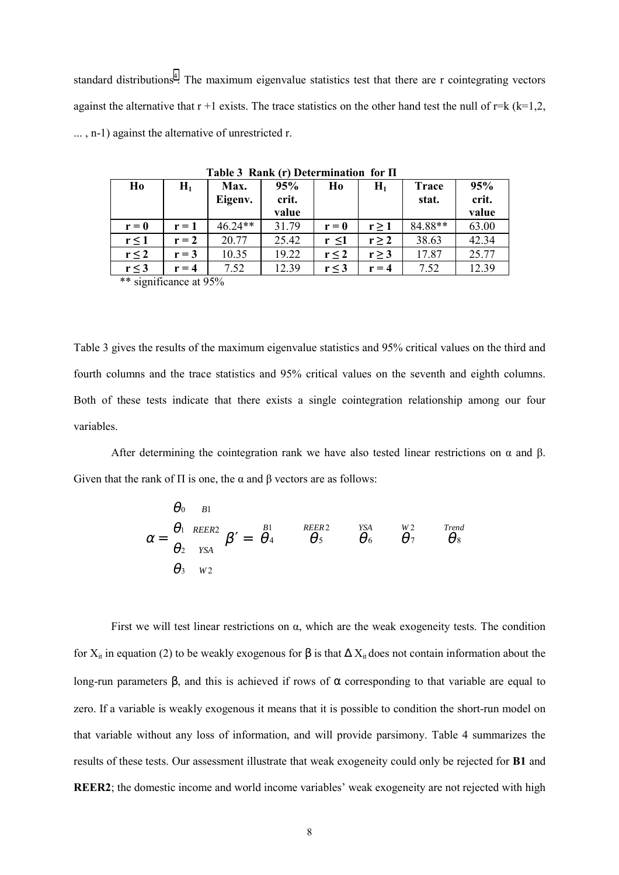standard distributions<sup>4</sup>. The maximum eigenvalue statistics test that there are r cointegrating vectors against the alternative that  $r + 1$  exists. The trace statistics on the other hand test the null of  $r = k (k=1,2,4)$ ... , n-1) against the alternative of unrestricted r.

| Ho                         | $H_1$   | Max.<br>Eigenv. | 95%<br>crit.<br>value | Ho         | $H_1$      | <b>Trace</b><br>stat. | 95%<br>crit.<br>value |
|----------------------------|---------|-----------------|-----------------------|------------|------------|-----------------------|-----------------------|
| $r = 0$                    | $r = 1$ | $46.24**$       | 31.79                 | $r = 0$    | $r \geq 1$ | 84.88**               | 63.00                 |
| $r \leq 1$                 | $r = 2$ | 20.77           | 25.42                 | $r \leq 1$ | $r \geq 2$ | 38.63                 | 42.34                 |
| $r \leq 2$                 | $r = 3$ | 10.35           | 19.22                 | $r \leq 2$ | $r \geq 3$ | 17.87                 | 25.77                 |
| $r \leq 3$<br>$\cdot$<br>. | $r=4$   | 7.52            | 12.39                 | $r \leq 3$ | $r = 4$    | 7.52                  | 12.39                 |

 **Table 3 Rank (r) Determination for Π**

\*\* significance at 95%

Table 3 gives the results of the maximum eigenvalue statistics and 95% critical values on the third and fourth columns and the trace statistics and 95% critical values on the seventh and eighth columns. Both of these tests indicate that there exists a single cointegration relationship among our four variables.

After determining the cointegration rank we have also tested linear restrictions on  $\alpha$  and  $\beta$ . Given that the rank of  $\Pi$  is one, the  $\alpha$  and  $\beta$  vectors are as follows:

$$
\alpha = \begin{bmatrix} \theta_0 \\ \theta_1 \\ \theta_2 \\ \theta_3 \end{bmatrix}^{B1}_{YSA} \beta' = \begin{bmatrix} B_1 & \text{REER2} & \text{YSA} & \text{W2} & \text{Trend} \\ \theta_4 & \theta_5 & \theta_6 & \theta_7 & \theta_8 \\ \text{W2} & \text{W2} & \text{W2} & \text{W2} & \text{W3} \end{bmatrix}
$$

First we will test linear restrictions on  $\alpha$ , which are the weak exogeneity tests. The condition for  $X_{it}$  in equation (2) to be weakly exogenous for  $\beta$  is that  $\Delta X_{it}$  does not contain information about the long-run parameters β, and this is achieved if rows of  $\alpha$  corresponding to that variable are equal to zero. If a variable is weakly exogenous it means that it is possible to condition the short-run model on that variable without any loss of information, and will provide parsimony. Table 4 summarizes the results of these tests. Our assessment illustrate that weak exogeneity could only be rejected for **B1** and **REER2**; the domestic income and world income variables' weak exogeneity are not rejected with high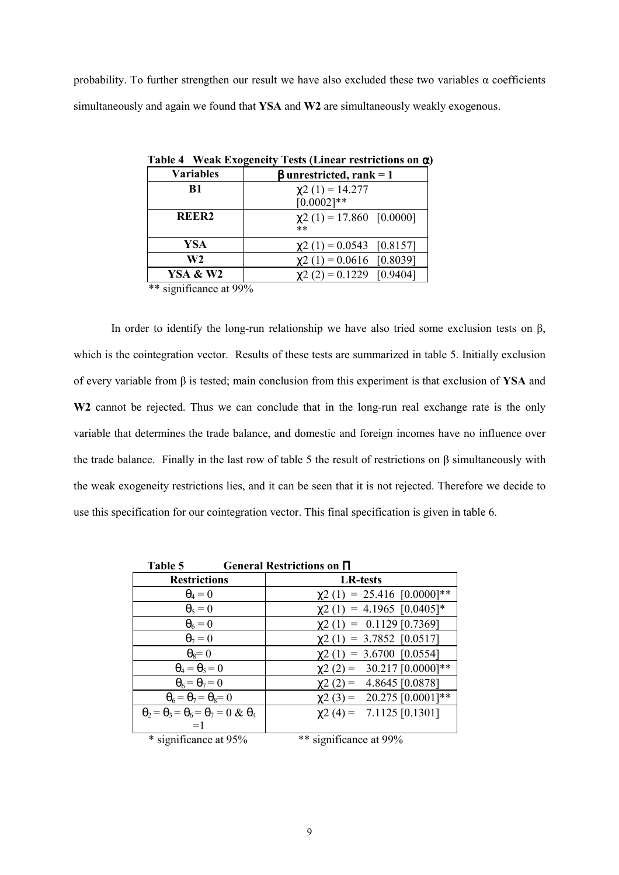probability. To further strengthen our result we have also excluded these two variables  $\alpha$  coefficients simultaneously and again we found that **YSA** and **W2** are simultaneously weakly exogenous.

| <b>Variables</b>          | $\beta$ unrestricted, rank = 1         |
|---------------------------|----------------------------------------|
| B1                        | $\chi$ 2 (1) = 14.277<br>$[0.0002]**$  |
| REER <sub>2</sub>         | $\chi$ 2 (1) = 17.860 [0.0000]<br>$**$ |
| YSA                       | $\chi$ 2 (1) = 0.0543 [0.8157]         |
| W <sub>2</sub>            | $\chi$ 2 (1) = 0.0616 [0.8039]         |
| <b>YSA &amp; W2</b>       | $\chi$ 2 (2) = 0.1229 [0.9404]         |
| $**$ gianificanos of 000/ |                                        |

**Table 4 Weak Exogeneity Tests (Linear restrictions on** α**)**

significance at 99%

In order to identify the long-run relationship we have also tried some exclusion tests on β, which is the cointegration vector. Results of these tests are summarized in table 5. Initially exclusion of every variable from β is tested; main conclusion from this experiment is that exclusion of **YSA** and W<sub>2</sub> cannot be rejected. Thus we can conclude that in the long-run real exchange rate is the only variable that determines the trade balance, and domestic and foreign incomes have no influence over the trade balance. Finally in the last row of table 5 the result of restrictions on β simultaneously with the weak exogeneity restrictions lies, and it can be seen that it is not rejected. Therefore we decide to use this specification for our cointegration vector. This final specification is given in table 6.

| Table 5                                                     | General Restrictions on $\Pi$    |
|-------------------------------------------------------------|----------------------------------|
| <b>Restrictions</b>                                         | <b>LR-tests</b>                  |
| $\theta_4=0$                                                | $\chi$ 2 (1) = 25.416 [0.0000]** |
| $\theta_5=0$                                                | $\chi$ 2 (1) = 4.1965 [0.0405]*  |
| $\theta_6=0$                                                | $\chi$ 2 (1) = 0.1129 [0.7369]   |
| $\theta_7=0$                                                | $\chi$ 2 (1) = 3.7852 [0.0517]   |
| $\theta_8 = 0$                                              | $\chi$ 2 (1) = 3.6700 [0.0554]   |
| $\theta_4 = \theta_5 = 0$                                   | $\chi$ 2 (2) = 30.217 [0.0000]** |
| $\theta_6 = \theta_7 = 0$                                   | $\chi$ 2 (2) = 4.8645 [0.0878]   |
| $\theta_6 = \theta_7 = \theta_8 = 0$                        | $\chi$ 2 (3) = 20.275 [0.0001]** |
| $\theta_2 = \theta_3 = \theta_6 = \theta_7 = 0 \& \theta_4$ | $\chi$ 2 (4) = 7.1125 [0.1301]   |
|                                                             |                                  |
| * significance at 95%                                       | ** significance at 99%           |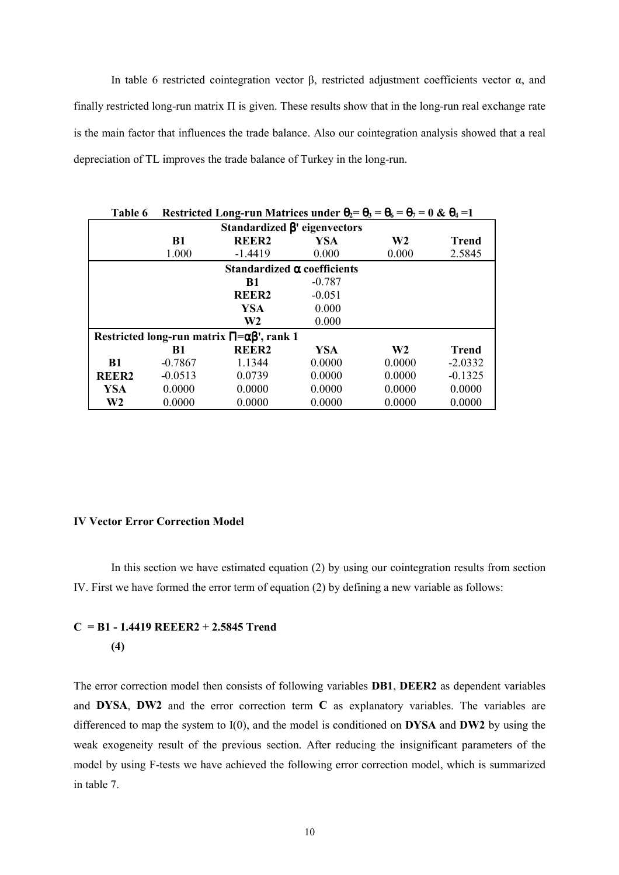In table 6 restricted cointegration vector β, restricted adjustment coefficients vector  $α$ , and finally restricted long-run matrix  $\Pi$  is given. These results show that in the long-run real exchange rate is the main factor that influences the trade balance. Also our cointegration analysis showed that a real depreciation of TL improves the trade balance of Turkey in the long-run.

| Table 6<br>Restricted Long-run Matrices under $\theta_2 = \theta_3 = \theta_6 = \theta_7 = 0$ & $\theta_4 = 1$ |           |                   |                                    |                |              |  |
|----------------------------------------------------------------------------------------------------------------|-----------|-------------------|------------------------------------|----------------|--------------|--|
| Standardized $\beta$ ' eigenvectors                                                                            |           |                   |                                    |                |              |  |
|                                                                                                                | <b>B1</b> | REER <sub>2</sub> | <b>YSA</b>                         | W <sub>2</sub> | <b>Trend</b> |  |
|                                                                                                                | 1.000     | $-1.4419$         | 0.000                              | 0.000          | 2.5845       |  |
|                                                                                                                |           |                   | Standardized $\alpha$ coefficients |                |              |  |
|                                                                                                                |           | <b>B1</b>         | $-0.787$                           |                |              |  |
|                                                                                                                |           | <b>REER2</b>      | $-0.051$                           |                |              |  |
|                                                                                                                |           | <b>YSA</b>        | 0.000                              |                |              |  |
|                                                                                                                |           | W <sub>2</sub>    | 0.000                              |                |              |  |
| Restricted long-run matrix $\Pi = \alpha \beta'$ , rank 1                                                      |           |                   |                                    |                |              |  |
|                                                                                                                | B1        | <b>REER2</b>      | <b>YSA</b>                         | W <sub>2</sub> | Trend        |  |
| <b>B1</b>                                                                                                      | $-0.7867$ | 1.1344            | 0.0000                             | 0.0000         | $-2.0332$    |  |
| <b>REER2</b>                                                                                                   | $-0.0513$ | 0.0739            | 0.0000                             | 0.0000         | $-0.1325$    |  |
| YSA                                                                                                            | 0.0000    | 0.0000            | 0.0000                             | 0.0000         | 0.0000       |  |
| W <sub>2</sub>                                                                                                 | 0.0000    | 0.0000            | 0.0000                             | 0.0000         | 0.0000       |  |

## **IV Vector Error Correction Model**

In this section we have estimated equation (2) by using our cointegration results from section IV. First we have formed the error term of equation (2) by defining a new variable as follows:

## **C = B1 - 1.4419 REEER2 + 2.5845 Trend (4)**

The error correction model then consists of following variables **DB1**, **DEER2** as dependent variables and **DYSA**, **DW2** and the error correction term **C** as explanatory variables. The variables are differenced to map the system to I(0), and the model is conditioned on **DYSA** and **DW2** by using the weak exogeneity result of the previous section. After reducing the insignificant parameters of the model by using F-tests we have achieved the following error correction model, which is summarized in table 7.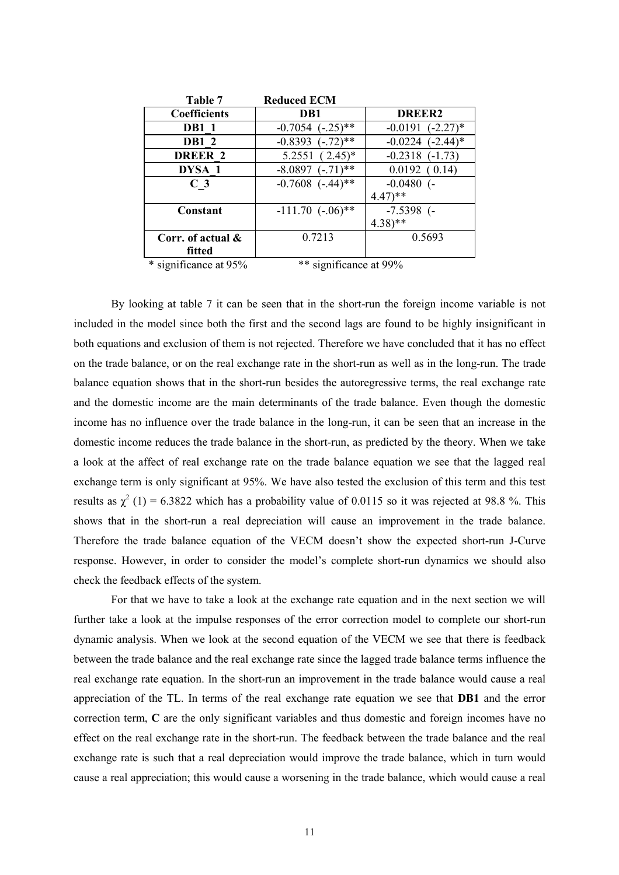| Table 7              | <b>Reduced ECM</b>    |                       |
|----------------------|-----------------------|-----------------------|
| <b>Coefficients</b>  | D <sub>B1</sub>       | <b>DREER2</b>         |
| <b>DB1</b> 1         | $-0.7054$ $(-.25)$ ** | $-0.0191$ $(-2.27)$ * |
| <b>DB1 2</b>         | $-0.8393$ $(-.72)$ ** | $-0.0224$ $(-2.44)$ * |
| <b>DREER 2</b>       | $5.2551(2.45)^*$      | $-0.2318$ $(-1.73)$   |
| DYSA 1               | $-8.0897$ $(-.71)$ ** | 0.0192(0.14)          |
| C <sub>3</sub>       | $-0.7608$ $(-.44)$ ** | $-0.0480$ (-          |
|                      |                       | $4.47$ <sup>**</sup>  |
| Constant             | $-111.70$ $(-.06)$ ** | $-7.5398$ (-          |
|                      |                       | $4.38$ <sup>**</sup>  |
| Corr. of actual $\&$ | 0.7213                | 0.5693                |
| fitted               |                       |                       |

\* significance at 95% \*\* significance at 99%

By looking at table 7 it can be seen that in the short-run the foreign income variable is not included in the model since both the first and the second lags are found to be highly insignificant in both equations and exclusion of them is not rejected. Therefore we have concluded that it has no effect on the trade balance, or on the real exchange rate in the short-run as well as in the long-run. The trade balance equation shows that in the short-run besides the autoregressive terms, the real exchange rate and the domestic income are the main determinants of the trade balance. Even though the domestic income has no influence over the trade balance in the long-run, it can be seen that an increase in the domestic income reduces the trade balance in the short-run, as predicted by the theory. When we take a look at the affect of real exchange rate on the trade balance equation we see that the lagged real exchange term is only significant at 95%. We have also tested the exclusion of this term and this test results as  $\chi^2$  (1) = 6.3822 which has a probability value of 0.0115 so it was rejected at 98.8 %. This shows that in the short-run a real depreciation will cause an improvement in the trade balance. Therefore the trade balance equation of the VECM doesn't show the expected short-run J-Curve response. However, in order to consider the model's complete short-run dynamics we should also check the feedback effects of the system.

For that we have to take a look at the exchange rate equation and in the next section we will further take a look at the impulse responses of the error correction model to complete our short-run dynamic analysis. When we look at the second equation of the VECM we see that there is feedback between the trade balance and the real exchange rate since the lagged trade balance terms influence the real exchange rate equation. In the short-run an improvement in the trade balance would cause a real appreciation of the TL. In terms of the real exchange rate equation we see that **DB1** and the error correction term, **C** are the only significant variables and thus domestic and foreign incomes have no effect on the real exchange rate in the short-run. The feedback between the trade balance and the real exchange rate is such that a real depreciation would improve the trade balance, which in turn would cause a real appreciation; this would cause a worsening in the trade balance, which would cause a real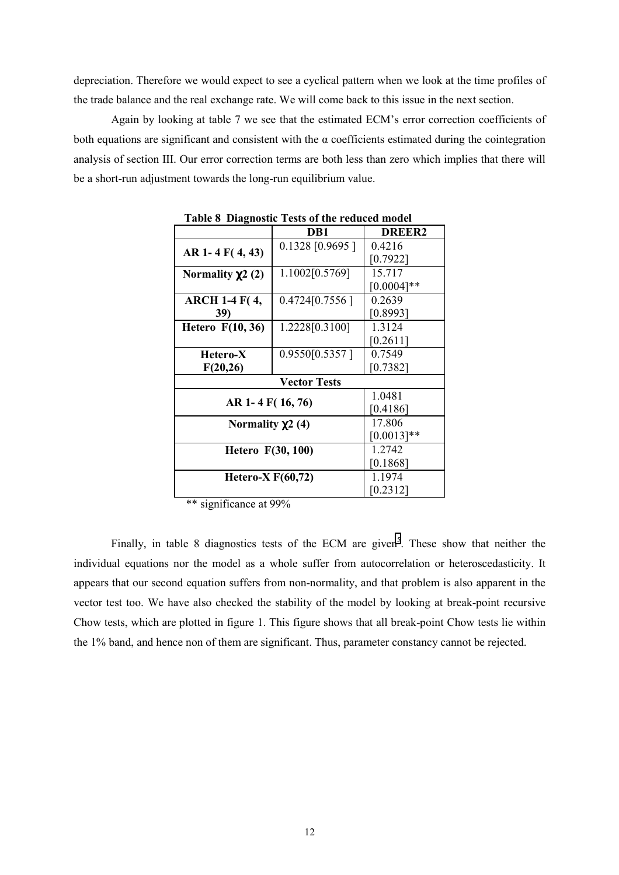depreciation. Therefore we would expect to see a cyclical pattern when we look at the time profiles of the trade balance and the real exchange rate. We will come back to this issue in the next section.

Again by looking at table 7 we see that the estimated ECM's error correction coefficients of both equations are significant and consistent with the  $\alpha$  coefficients estimated during the cointegration analysis of section III. Our error correction terms are both less than zero which implies that there will be a short-run adjustment towards the long-run equilibrium value.

| DB1<br>DREER <sub>2</sub><br>0.1328 [0.9695]<br>0.4216<br>AR 1-4 F(4,43)<br>[0.7922]<br>15.717<br>1.1002[0.5769]<br>Normality $\chi$ 2 (2)<br>$[0.0004]**$<br>0.2639<br>0.4724[0.7556]<br><b>ARCH 1-4 F(4,</b> |  |  |  |  |
|----------------------------------------------------------------------------------------------------------------------------------------------------------------------------------------------------------------|--|--|--|--|
|                                                                                                                                                                                                                |  |  |  |  |
|                                                                                                                                                                                                                |  |  |  |  |
|                                                                                                                                                                                                                |  |  |  |  |
|                                                                                                                                                                                                                |  |  |  |  |
|                                                                                                                                                                                                                |  |  |  |  |
|                                                                                                                                                                                                                |  |  |  |  |
| [0.8993]<br>39)                                                                                                                                                                                                |  |  |  |  |
| 1.3124<br><b>Hetero</b> F(10, 36)<br>1.2228[0.3100]                                                                                                                                                            |  |  |  |  |
| [0.2611]                                                                                                                                                                                                       |  |  |  |  |
| 0.7549<br>0.9550[0.5357]<br>Hetero-X                                                                                                                                                                           |  |  |  |  |
| [0.7382]<br>F(20,26)                                                                                                                                                                                           |  |  |  |  |
| <b>Vector Tests</b>                                                                                                                                                                                            |  |  |  |  |
| 1.0481                                                                                                                                                                                                         |  |  |  |  |
| AR 1-4 F(16, 76)<br>[0.4186]                                                                                                                                                                                   |  |  |  |  |
| 17.806<br>Normality $\chi$ 2 (4)                                                                                                                                                                               |  |  |  |  |
| $[0.0013]**$                                                                                                                                                                                                   |  |  |  |  |
| 1.2742<br>Hetero F(30, 100)                                                                                                                                                                                    |  |  |  |  |
| [0.1868]                                                                                                                                                                                                       |  |  |  |  |
| 1.1974<br>Hetero-X $F(60,72)$                                                                                                                                                                                  |  |  |  |  |
| [0.2312]                                                                                                                                                                                                       |  |  |  |  |

**Table 8 Diagnostic Tests of the reduced model**

\*\* significance at 99%

Finally, in table 8 diagnostics tests of the ECM are given<sup>5</sup>. These show that neither the individual equations nor the model as a whole suffer from autocorrelation or heteroscedasticity. It appears that our second equation suffers from non-normality, and that problem is also apparent in the vector test too. We have also checked the stability of the model by looking at break-point recursive Chow tests, which are plotted in figure 1. This figure shows that all break-point Chow tests lie within the 1% band, and hence non of them are significant. Thus, parameter constancy cannot be rejected.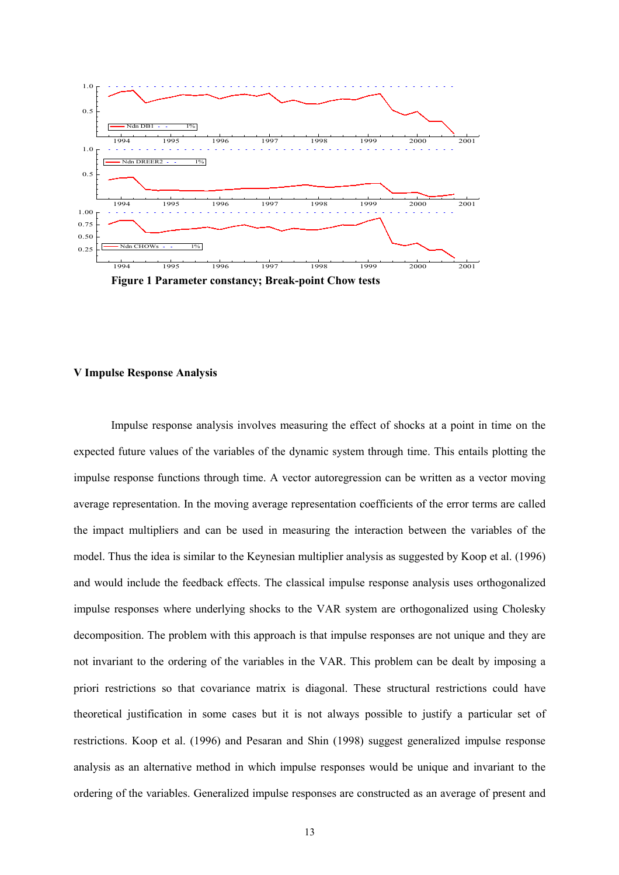

**Figure 1 Parameter constancy; Break-point Chow tests**

## **V Impulse Response Analysis**

Impulse response analysis involves measuring the effect of shocks at a point in time on the expected future values of the variables of the dynamic system through time. This entails plotting the impulse response functions through time. A vector autoregression can be written as a vector moving average representation. In the moving average representation coefficients of the error terms are called the impact multipliers and can be used in measuring the interaction between the variables of the model. Thus the idea is similar to the Keynesian multiplier analysis as suggested by Koop et al. (1996) and would include the feedback effects. The classical impulse response analysis uses orthogonalized impulse responses where underlying shocks to the VAR system are orthogonalized using Cholesky decomposition. The problem with this approach is that impulse responses are not unique and they are not invariant to the ordering of the variables in the VAR. This problem can be dealt by imposing a priori restrictions so that covariance matrix is diagonal. These structural restrictions could have theoretical justification in some cases but it is not always possible to justify a particular set of restrictions. Koop et al. (1996) and Pesaran and Shin (1998) suggest generalized impulse response analysis as an alternative method in which impulse responses would be unique and invariant to the ordering of the variables. Generalized impulse responses are constructed as an average of present and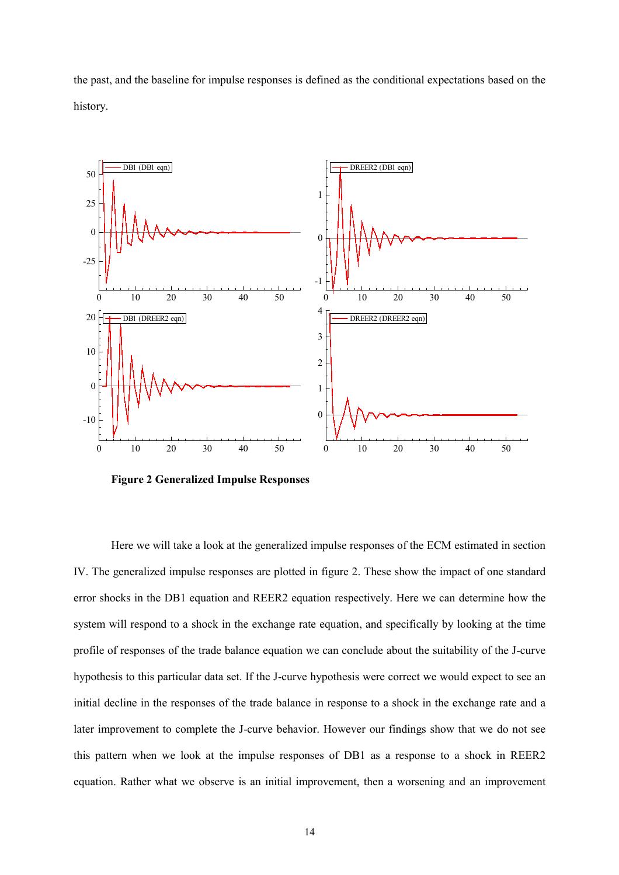



**Figure 2 Generalized Impulse Responses**

Here we will take a look at the generalized impulse responses of the ECM estimated in section IV. The generalized impulse responses are plotted in figure 2. These show the impact of one standard error shocks in the DB1 equation and REER2 equation respectively. Here we can determine how the system will respond to a shock in the exchange rate equation, and specifically by looking at the time profile of responses of the trade balance equation we can conclude about the suitability of the J-curve hypothesis to this particular data set. If the J-curve hypothesis were correct we would expect to see an initial decline in the responses of the trade balance in response to a shock in the exchange rate and a later improvement to complete the J-curve behavior. However our findings show that we do not see this pattern when we look at the impulse responses of DB1 as a response to a shock in REER2 equation. Rather what we observe is an initial improvement, then a worsening and an improvement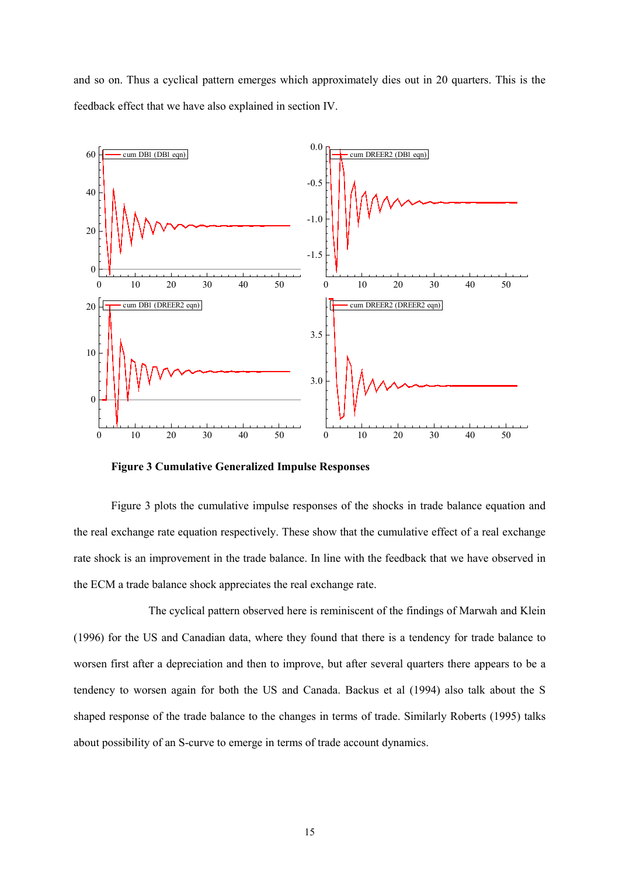and so on. Thus a cyclical pattern emerges which approximately dies out in 20 quarters. This is the feedback effect that we have also explained in section IV.



**Figure 3 Cumulative Generalized Impulse Responses**

Figure 3 plots the cumulative impulse responses of the shocks in trade balance equation and the real exchange rate equation respectively. These show that the cumulative effect of a real exchange rate shock is an improvement in the trade balance. In line with the feedback that we have observed in the ECM a trade balance shock appreciates the real exchange rate.

The cyclical pattern observed here is reminiscent of the findings of Marwah and Klein (1996) for the US and Canadian data, where they found that there is a tendency for trade balance to worsen first after a depreciation and then to improve, but after several quarters there appears to be a tendency to worsen again for both the US and Canada. Backus et al (1994) also talk about the S shaped response of the trade balance to the changes in terms of trade. Similarly Roberts (1995) talks about possibility of an S-curve to emerge in terms of trade account dynamics.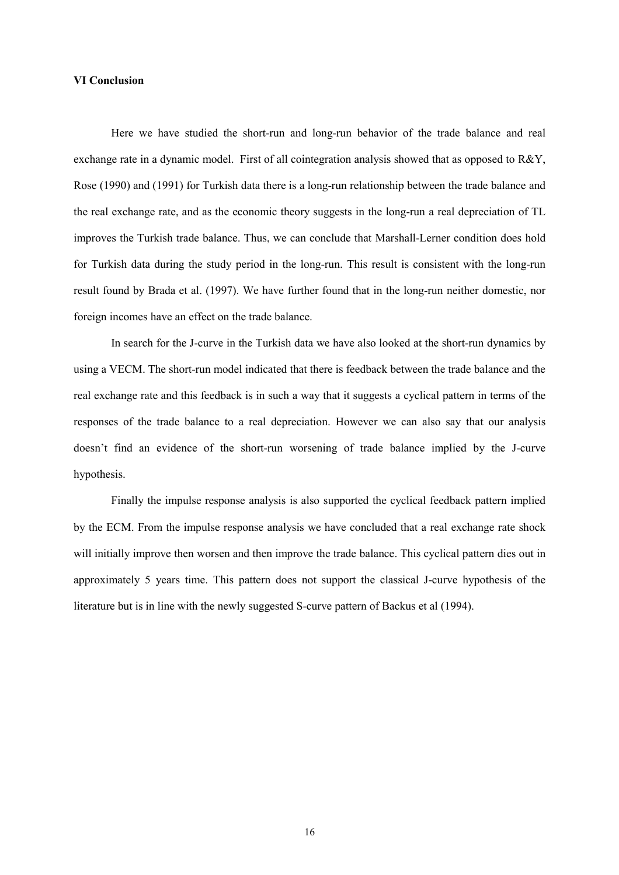## **VI Conclusion**

Here we have studied the short-run and long-run behavior of the trade balance and real exchange rate in a dynamic model. First of all cointegration analysis showed that as opposed to R&Y, Rose (1990) and (1991) for Turkish data there is a long-run relationship between the trade balance and the real exchange rate, and as the economic theory suggests in the long-run a real depreciation of TL improves the Turkish trade balance. Thus, we can conclude that Marshall-Lerner condition does hold for Turkish data during the study period in the long-run. This result is consistent with the long-run result found by Brada et al. (1997). We have further found that in the long-run neither domestic, nor foreign incomes have an effect on the trade balance.

In search for the J-curve in the Turkish data we have also looked at the short-run dynamics by using a VECM. The short-run model indicated that there is feedback between the trade balance and the real exchange rate and this feedback is in such a way that it suggests a cyclical pattern in terms of the responses of the trade balance to a real depreciation. However we can also say that our analysis doesn't find an evidence of the short-run worsening of trade balance implied by the J-curve hypothesis.

Finally the impulse response analysis is also supported the cyclical feedback pattern implied by the ECM. From the impulse response analysis we have concluded that a real exchange rate shock will initially improve then worsen and then improve the trade balance. This cyclical pattern dies out in approximately 5 years time. This pattern does not support the classical J-curve hypothesis of the literature but is in line with the newly suggested S-curve pattern of Backus et al (1994).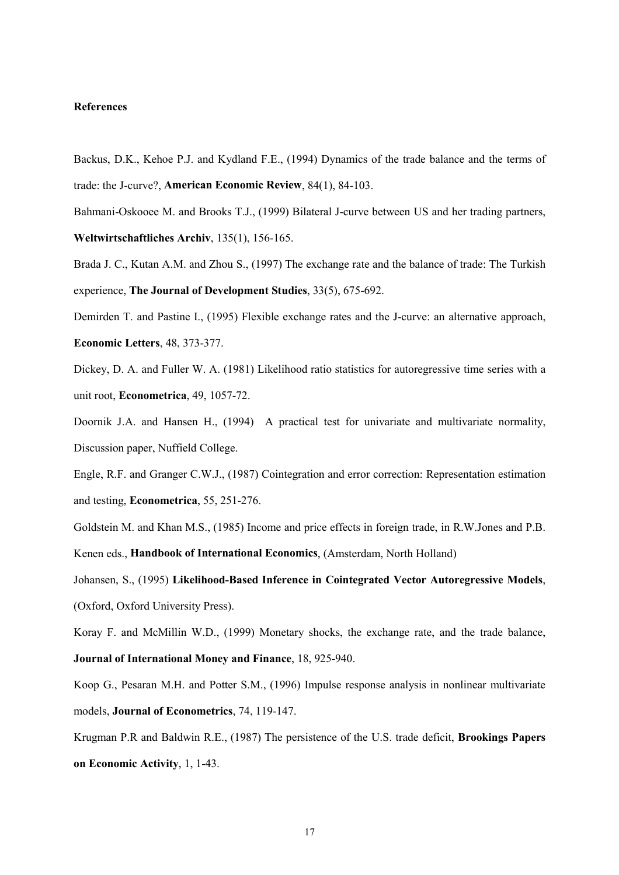## **References**

- Backus, D.K., Kehoe P.J. and Kydland F.E., (1994) Dynamics of the trade balance and the terms of trade: the J-curve?, **American Economic Review**, 84(1), 84-103.
- Bahmani-Oskooee M. and Brooks T.J., (1999) Bilateral J-curve between US and her trading partners, **Weltwirtschaftliches Archiv**, 135(1), 156-165.
- Brada J. C., Kutan A.M. and Zhou S., (1997) The exchange rate and the balance of trade: The Turkish experience, **The Journal of Development Studies**, 33(5), 675-692.

Demirden T. and Pastine I., (1995) Flexible exchange rates and the J-curve: an alternative approach, **Economic Letters**, 48, 373-377.

Dickey, D. A. and Fuller W. A. (1981) Likelihood ratio statistics for autoregressive time series with a unit root, **Econometrica**, 49, 1057-72.

Doornik J.A. and Hansen H., (1994) A practical test for univariate and multivariate normality, Discussion paper, Nuffield College.

Engle, R.F. and Granger C.W.J., (1987) Cointegration and error correction: Representation estimation and testing, **Econometrica**, 55, 251-276.

Goldstein M. and Khan M.S., (1985) Income and price effects in foreign trade, in R.W.Jones and P.B.

Kenen eds., **Handbook of International Economics**, (Amsterdam, North Holland)

Johansen, S., (1995) **Likelihood-Based Inference in Cointegrated Vector Autoregressive Models**, (Oxford, Oxford University Press).

Koray F. and McMillin W.D., (1999) Monetary shocks, the exchange rate, and the trade balance, **Journal of International Money and Finance**, 18, 925-940.

Koop G., Pesaran M.H. and Potter S.M., (1996) Impulse response analysis in nonlinear multivariate models, **Journal of Econometrics**, 74, 119-147.

Krugman P.R and Baldwin R.E., (1987) The persistence of the U.S. trade deficit, **Brookings Papers on Economic Activity**, 1, 1-43.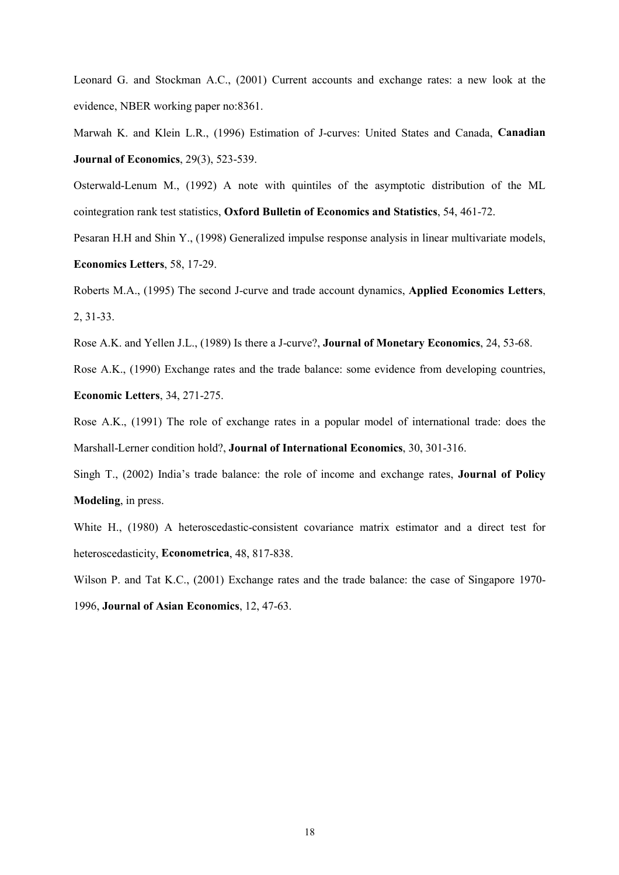Leonard G. and Stockman A.C., (2001) Current accounts and exchange rates: a new look at the evidence, NBER working paper no:8361.

Marwah K. and Klein L.R., (1996) Estimation of J-curves: United States and Canada, **Canadian Journal of Economics**, 29(3), 523-539.

Osterwald-Lenum M., (1992) A note with quintiles of the asymptotic distribution of the ML cointegration rank test statistics, **Oxford Bulletin of Economics and Statistics**, 54, 461-72.

Pesaran H.H and Shin Y., (1998) Generalized impulse response analysis in linear multivariate models, **Economics Letters**, 58, 17-29.

Roberts M.A., (1995) The second J-curve and trade account dynamics, **Applied Economics Letters**, 2, 31-33.

Rose A.K. and Yellen J.L., (1989) Is there a J-curve?, **Journal of Monetary Economics**, 24, 53-68.

Rose A.K., (1990) Exchange rates and the trade balance: some evidence from developing countries, **Economic Letters**, 34, 271-275.

Rose A.K., (1991) The role of exchange rates in a popular model of international trade: does the Marshall-Lerner condition hold?, **Journal of International Economics**, 30, 301-316.

Singh T., (2002) India's trade balance: the role of income and exchange rates, **Journal of Policy Modeling**, in press.

White H., (1980) A heteroscedastic-consistent covariance matrix estimator and a direct test for heteroscedasticity, **Econometrica**, 48, 817-838.

Wilson P. and Tat K.C., (2001) Exchange rates and the trade balance: the case of Singapore 1970- 1996, **Journal of Asian Economics**, 12, 47-63.